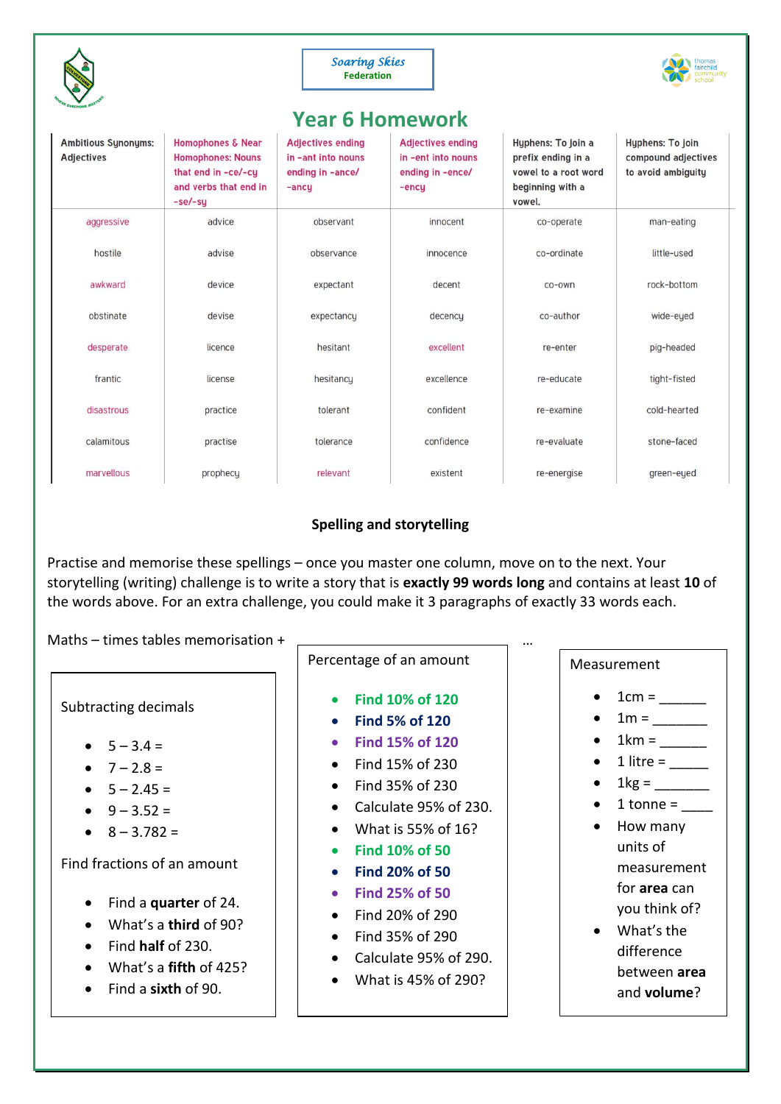



# **Year 6 Homework**

| <b>Ambitious Synonyms:</b><br><b>Adjectives</b> | <b>Homophones &amp; Near</b><br><b>Homophones: Nouns</b><br>that end in -ce/-cu<br>and verbs that end in<br>$-se$ / $-su$ | <b>Adjectives ending</b><br>in -ant into nouns<br>ending in -ance/<br>$-$ ancu | <b>Adjectives ending</b><br>in -ent into nouns<br>ending in -ence/<br>$-encu$ | Hyphens: To join a<br>prefix ending in a<br>vowel to a root word<br>beginning with a<br>vowel. | Hyphens: To join<br>compound adjectives<br>to avoid ambiguity |
|-------------------------------------------------|---------------------------------------------------------------------------------------------------------------------------|--------------------------------------------------------------------------------|-------------------------------------------------------------------------------|------------------------------------------------------------------------------------------------|---------------------------------------------------------------|
| aggressive                                      | advice                                                                                                                    | observant                                                                      | innocent                                                                      | co-operate                                                                                     | man-eating                                                    |
| hostile                                         | advise                                                                                                                    | observance                                                                     | innocence                                                                     | co-ordinate                                                                                    | little-used                                                   |
| awkward                                         | device                                                                                                                    | expectant                                                                      | decent                                                                        | co-own                                                                                         | rock-bottom                                                   |
| obstinate                                       | devise                                                                                                                    | expectancy                                                                     | decency                                                                       | co-author                                                                                      | wide-eyed                                                     |
| desperate                                       | licence                                                                                                                   | hesitant                                                                       | excellent                                                                     | re-enter                                                                                       | pig-headed                                                    |
| frantic                                         | license                                                                                                                   | hesitancy                                                                      | excellence                                                                    | re-educate                                                                                     | tight-fisted                                                  |
| disastrous                                      | practice                                                                                                                  | tolerant                                                                       | confident                                                                     | re-examine                                                                                     | cold-hearted                                                  |
| calamitous                                      | practise                                                                                                                  | tolerance                                                                      | confidence                                                                    | re-evaluate                                                                                    | stone-faced                                                   |
| marvellous                                      | prophecy                                                                                                                  | relevant                                                                       | existent                                                                      | re-energise                                                                                    | green-eyed                                                    |

### **Spelling and storytelling**

Practise and memorise these spellings – once you master one column, move on to the next. Your storytelling (writing) challenge is to write a story that is **exactly 99 words long** and contains at least **10** of the words above. For an extra challenge, you could make it 3 paragraphs of exactly 33 words each.

Maths – times tables memorisation + …

Subtracting decimals

- $-5 3.4 =$
- $7 2.8 =$
- $5 2.45 =$
- $9 3.52 =$
- $8 3.782 =$

Find fractions of an amount

- Find a **quarter** of 24.
- What's a **third** of 90?
- Find **half** of 230.
- What's a **fifth** of 425?
- Find a **sixth** of 90.

| Percentage of an amount |  |  |
|-------------------------|--|--|
|                         |  |  |

- **Find 10% of 120**
- **Find 5% of 120**
- **Find 15% of 120**
- Find 15% of 230
- Find 35% of 230
- Calculate 95% of 230.
- What is 55% of 16?
- **Find 10% of 50**
- **Find 20% of 50**
- **Find 25% of 50**
- Find 20% of 290
- Find 35% of 290
- Calculate 95% of 290.
- What is 45% of 290?

#### Measurement

- $\bullet$  1cm =
- $1m =$
- $1 \text{km} = \_$
- 1 litre  $=$ 
	- $1 \text{kg} =$
- 1 tonne  $=$
- How many units of measurement for **area** can you think of?
- What's the difference between **area** and **volume**?